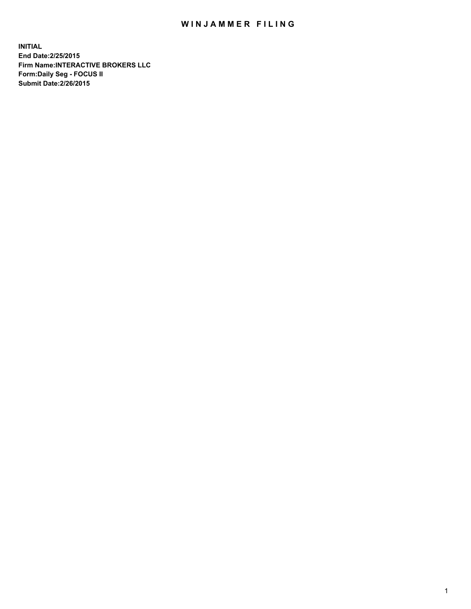## WIN JAMMER FILING

**INITIAL End Date:2/25/2015 Firm Name:INTERACTIVE BROKERS LLC Form:Daily Seg - FOCUS II Submit Date:2/26/2015**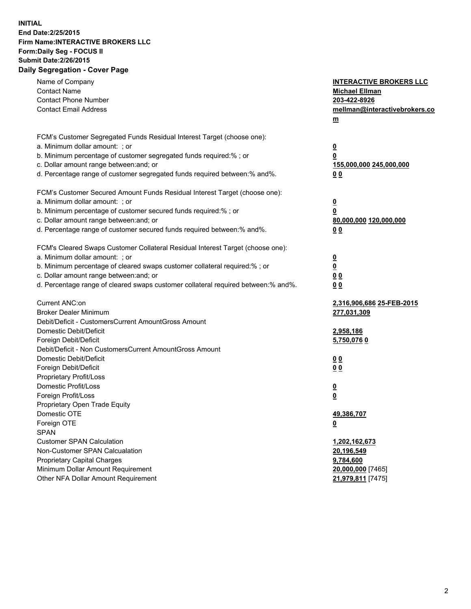## **INITIAL End Date:2/25/2015 Firm Name:INTERACTIVE BROKERS LLC Form:Daily Seg - FOCUS II Submit Date:2/26/2015 Daily Segregation - Cover Page**

| Name of Company<br><b>Contact Name</b><br><b>Contact Phone Number</b>             | <b>INTERACTIVE BROKERS LLC</b><br><b>Michael Ellman</b><br>203-422-8926 |
|-----------------------------------------------------------------------------------|-------------------------------------------------------------------------|
| <b>Contact Email Address</b>                                                      | mellman@interactivebrokers.co<br>$m$                                    |
| FCM's Customer Segregated Funds Residual Interest Target (choose one):            |                                                                         |
| a. Minimum dollar amount: ; or                                                    | $\overline{\mathbf{0}}$                                                 |
| b. Minimum percentage of customer segregated funds required:% ; or                | 0                                                                       |
| c. Dollar amount range between: and; or                                           | 155,000,000 245,000,000                                                 |
| d. Percentage range of customer segregated funds required between:% and%.         | 0 <sub>0</sub>                                                          |
| FCM's Customer Secured Amount Funds Residual Interest Target (choose one):        |                                                                         |
| a. Minimum dollar amount: ; or                                                    | $\overline{\mathbf{0}}$                                                 |
| b. Minimum percentage of customer secured funds required:% ; or                   | 0                                                                       |
| c. Dollar amount range between: and; or                                           | 80,000,000 120,000,000                                                  |
| d. Percentage range of customer secured funds required between:% and%.            | 0 <sub>0</sub>                                                          |
| FCM's Cleared Swaps Customer Collateral Residual Interest Target (choose one):    |                                                                         |
| a. Minimum dollar amount: ; or                                                    | $\overline{\mathbf{0}}$                                                 |
| b. Minimum percentage of cleared swaps customer collateral required:% ; or        | $\overline{\mathbf{0}}$                                                 |
| c. Dollar amount range between: and; or                                           | 0 <sub>0</sub>                                                          |
| d. Percentage range of cleared swaps customer collateral required between:% and%. | 0 <sub>0</sub>                                                          |
| Current ANC:on                                                                    | 2,316,906,686 25-FEB-2015                                               |
| <b>Broker Dealer Minimum</b>                                                      | 277,031,309                                                             |
| Debit/Deficit - CustomersCurrent AmountGross Amount                               |                                                                         |
| Domestic Debit/Deficit                                                            | 2,958,186                                                               |
| Foreign Debit/Deficit                                                             | 5,750,0760                                                              |
| Debit/Deficit - Non CustomersCurrent AmountGross Amount                           |                                                                         |
| Domestic Debit/Deficit                                                            | 0 <sub>0</sub>                                                          |
| Foreign Debit/Deficit                                                             | 0 <sub>0</sub>                                                          |
| Proprietary Profit/Loss                                                           |                                                                         |
| Domestic Profit/Loss                                                              | $\overline{\mathbf{0}}$                                                 |
| Foreign Profit/Loss                                                               | $\underline{\mathbf{0}}$                                                |
| Proprietary Open Trade Equity                                                     |                                                                         |
| Domestic OTE                                                                      | 49,386,707                                                              |
| Foreign OTE                                                                       | <u>0</u>                                                                |
| <b>SPAN</b>                                                                       |                                                                         |
| <b>Customer SPAN Calculation</b>                                                  | 1,202,162,673                                                           |
| Non-Customer SPAN Calcualation                                                    | 20,196,549                                                              |
| Proprietary Capital Charges                                                       | 9,784,600                                                               |
| Minimum Dollar Amount Requirement                                                 | 20,000,000 [7465]                                                       |
| Other NFA Dollar Amount Requirement                                               | 21,979,811 [7475]                                                       |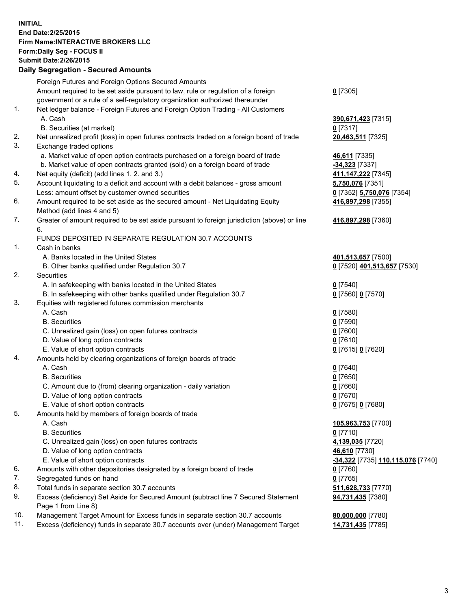## **INITIAL End Date:2/25/2015 Firm Name:INTERACTIVE BROKERS LLC Form:Daily Seg - FOCUS II Submit Date:2/26/2015 Daily Segregation - Secured Amounts**

|                | Daily Jegregation - Jeculed Aniounts                                                        |                                   |
|----------------|---------------------------------------------------------------------------------------------|-----------------------------------|
|                | Foreign Futures and Foreign Options Secured Amounts                                         |                                   |
|                | Amount required to be set aside pursuant to law, rule or regulation of a foreign            | $0$ [7305]                        |
|                | government or a rule of a self-regulatory organization authorized thereunder                |                                   |
| 1.             | Net ledger balance - Foreign Futures and Foreign Option Trading - All Customers             |                                   |
|                | A. Cash                                                                                     | 390,671,423 [7315]                |
|                | B. Securities (at market)                                                                   | 0 [7317]                          |
| 2.             | Net unrealized profit (loss) in open futures contracts traded on a foreign board of trade   | 20,463,511 [7325]                 |
| 3.             | Exchange traded options                                                                     |                                   |
|                | a. Market value of open option contracts purchased on a foreign board of trade              | 46,611 [7335]                     |
|                | b. Market value of open contracts granted (sold) on a foreign board of trade                | $-34,323$ [7337]                  |
| 4.             | Net equity (deficit) (add lines 1.2. and 3.)                                                | 411, 147, 222 [7345]              |
| 5.             | Account liquidating to a deficit and account with a debit balances - gross amount           | 5,750,076 [7351]                  |
|                | Less: amount offset by customer owned securities                                            | 0 [7352] 5,750,076 [7354]         |
| 6.             | Amount required to be set aside as the secured amount - Net Liquidating Equity              | 416,897,298 [7355]                |
|                | Method (add lines 4 and 5)                                                                  |                                   |
| 7.             | Greater of amount required to be set aside pursuant to foreign jurisdiction (above) or line | 416,897,298 [7360]                |
|                | 6.                                                                                          |                                   |
|                | FUNDS DEPOSITED IN SEPARATE REGULATION 30.7 ACCOUNTS                                        |                                   |
| $\mathbf{1}$ . | Cash in banks                                                                               |                                   |
|                | A. Banks located in the United States                                                       | 401,513,657 [7500]                |
|                | B. Other banks qualified under Regulation 30.7                                              | 0 [7520] 401,513,657 [7530]       |
| 2.             | Securities                                                                                  |                                   |
|                | A. In safekeeping with banks located in the United States                                   | $0$ [7540]                        |
|                | B. In safekeeping with other banks qualified under Regulation 30.7                          | 0 [7560] 0 [7570]                 |
| 3.             | Equities with registered futures commission merchants                                       |                                   |
|                | A. Cash                                                                                     | $0$ [7580]                        |
|                | <b>B.</b> Securities                                                                        | $0$ [7590]                        |
|                | C. Unrealized gain (loss) on open futures contracts                                         | $0$ [7600]                        |
|                | D. Value of long option contracts                                                           | $0$ [7610]                        |
|                | E. Value of short option contracts                                                          | 0 [7615] 0 [7620]                 |
| 4.             | Amounts held by clearing organizations of foreign boards of trade                           |                                   |
|                | A. Cash                                                                                     | $0$ [7640]                        |
|                | <b>B.</b> Securities                                                                        | $0$ [7650]                        |
|                | C. Amount due to (from) clearing organization - daily variation                             | $0$ [7660]                        |
|                | D. Value of long option contracts                                                           | $0$ [7670]                        |
|                | E. Value of short option contracts                                                          | 0 [7675] 0 [7680]                 |
| 5.             | Amounts held by members of foreign boards of trade                                          |                                   |
|                | A. Cash                                                                                     | 105,963,753 [7700]                |
|                | <b>B.</b> Securities                                                                        | $0$ [7710]                        |
|                | C. Unrealized gain (loss) on open futures contracts                                         | 4,139,035 [7720]                  |
|                | D. Value of long option contracts                                                           | 46,610 [7730]                     |
|                | E. Value of short option contracts                                                          | -34,322 [7735] 110,115,076 [7740] |
| 6.             | Amounts with other depositories designated by a foreign board of trade                      | 0 [7760]                          |
| 7.             | Segregated funds on hand                                                                    | $0$ [7765]                        |
| 8.             | Total funds in separate section 30.7 accounts                                               | 511,628,733 [7770]                |
| 9.             | Excess (deficiency) Set Aside for Secured Amount (subtract line 7 Secured Statement         | 94,731,435 [7380]                 |
|                | Page 1 from Line 8)                                                                         |                                   |
| 10.            | Management Target Amount for Excess funds in separate section 30.7 accounts                 | 80,000,000 [7780]                 |
| 11.            | Excess (deficiency) funds in separate 30.7 accounts over (under) Management Target          | 14,731,435 [7785]                 |
|                |                                                                                             |                                   |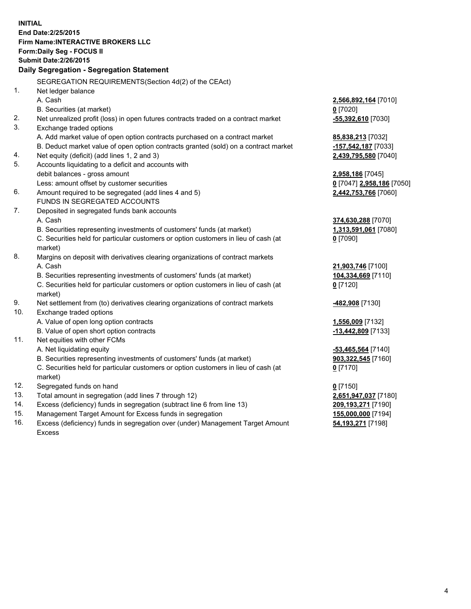**INITIAL End Date:2/25/2015 Firm Name:INTERACTIVE BROKERS LLC Form:Daily Seg - FOCUS II Submit Date:2/26/2015 Daily Segregation - Segregation Statement** SEGREGATION REQUIREMENTS(Section 4d(2) of the CEAct) 1. Net ledger balance A. Cash **2,566,892,164** [7010] B. Securities (at market) **0** [7020] 2. Net unrealized profit (loss) in open futures contracts traded on a contract market **-55,392,610** [7030] 3. Exchange traded options A. Add market value of open option contracts purchased on a contract market **85,838,213** [7032] B. Deduct market value of open option contracts granted (sold) on a contract market **-157,542,187** [7033] 4. Net equity (deficit) (add lines 1, 2 and 3) **2,439,795,580** [7040] 5. Accounts liquidating to a deficit and accounts with debit balances - gross amount **2,958,186** [7045] Less: amount offset by customer securities **0** [7047] **2,958,186** [7050] 6. Amount required to be segregated (add lines 4 and 5) **2,442,753,766** [7060] FUNDS IN SEGREGATED ACCOUNTS 7. Deposited in segregated funds bank accounts A. Cash **374,630,288** [7070] B. Securities representing investments of customers' funds (at market) **1,313,591,061** [7080] C. Securities held for particular customers or option customers in lieu of cash (at market) **0** [7090] 8. Margins on deposit with derivatives clearing organizations of contract markets A. Cash **21,903,746** [7100] B. Securities representing investments of customers' funds (at market) **104,334,669** [7110] C. Securities held for particular customers or option customers in lieu of cash (at market) **0** [7120] 9. Net settlement from (to) derivatives clearing organizations of contract markets **-482,908** [7130] 10. Exchange traded options A. Value of open long option contracts **1,556,009** [7132] B. Value of open short option contracts **-13,442,809** [7133] 11. Net equities with other FCMs A. Net liquidating equity **-53,465,564** [7140] B. Securities representing investments of customers' funds (at market) **903,322,545** [7160] C. Securities held for particular customers or option customers in lieu of cash (at market) **0** [7170] 12. Segregated funds on hand **0** [7150] 13. Total amount in segregation (add lines 7 through 12) **2,651,947,037** [7180] 14. Excess (deficiency) funds in segregation (subtract line 6 from line 13) **209,193,271** [7190] 15. Management Target Amount for Excess funds in segregation **155,000,000** [7194]

16. Excess (deficiency) funds in segregation over (under) Management Target Amount Excess

**54,193,271** [7198]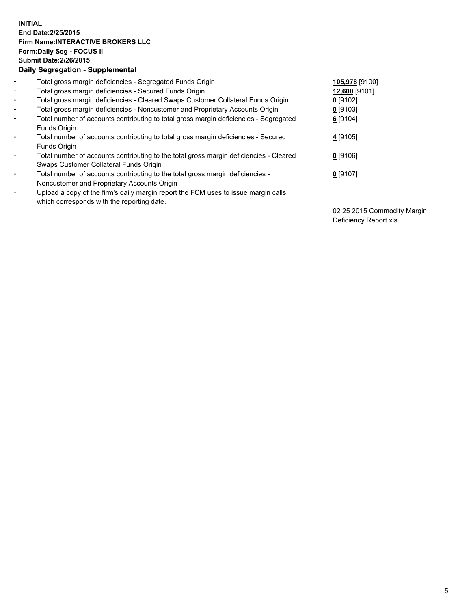## **INITIAL End Date:2/25/2015 Firm Name:INTERACTIVE BROKERS LLC Form:Daily Seg - FOCUS II Submit Date:2/26/2015 Daily Segregation - Supplemental**

| $\blacksquare$           | Total gross margin deficiencies - Segregated Funds Origin                                                                        | 105,978 [9100] |
|--------------------------|----------------------------------------------------------------------------------------------------------------------------------|----------------|
| $\blacksquare$           | Total gross margin deficiencies - Secured Funds Origin                                                                           | 12,600 [9101]  |
| $\blacksquare$           | Total gross margin deficiencies - Cleared Swaps Customer Collateral Funds Origin                                                 | $0$ [9102]     |
| $\blacksquare$           | Total gross margin deficiencies - Noncustomer and Proprietary Accounts Origin                                                    | $0$ [9103]     |
| $\blacksquare$           | Total number of accounts contributing to total gross margin deficiencies - Segregated<br>Funds Origin                            | $6$ [9104]     |
| $\blacksquare$           | Total number of accounts contributing to total gross margin deficiencies - Secured<br><b>Funds Origin</b>                        | 4 [9105]       |
| $\overline{\phantom{a}}$ | Total number of accounts contributing to the total gross margin deficiencies - Cleared<br>Swaps Customer Collateral Funds Origin | $0$ [9106]     |
| -                        | Total number of accounts contributing to the total gross margin deficiencies -<br>Noncustomer and Proprietary Accounts Origin    | $0$ [9107]     |
| $\blacksquare$           | Upload a copy of the firm's daily margin report the FCM uses to issue margin calls<br>which corresponds with the reporting date. |                |

02 25 2015 Commodity Margin Deficiency Report.xls